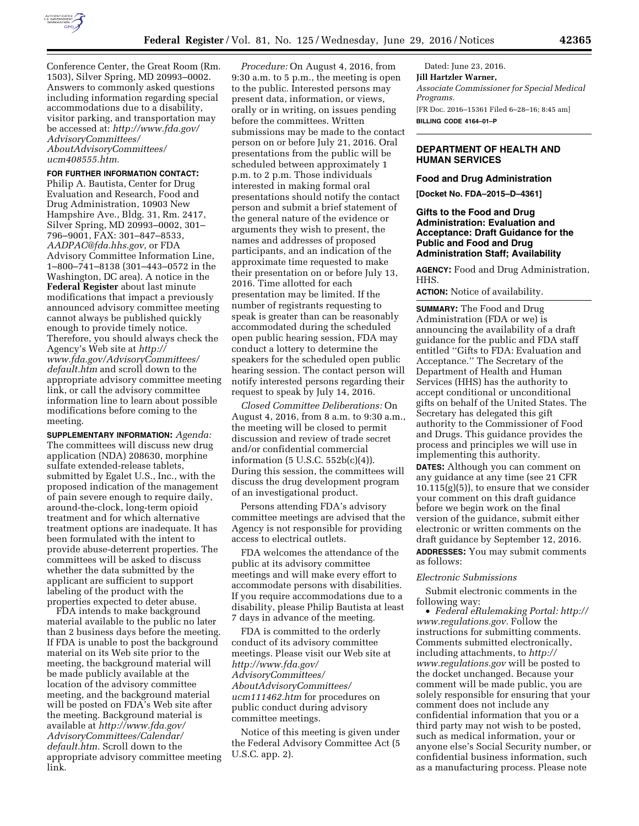

Conference Center, the Great Room (Rm. 1503), Silver Spring, MD 20993–0002. Answers to commonly asked questions including information regarding special accommodations due to a disability, visitor parking, and transportation may be accessed at: *[http://www.fda.gov/](http://www.fda.gov/AdvisoryCommittees/AboutAdvisoryCommittees/ucm408555.htm) [AdvisoryCommittees/](http://www.fda.gov/AdvisoryCommittees/AboutAdvisoryCommittees/ucm408555.htm) [AboutAdvisoryCommittees/](http://www.fda.gov/AdvisoryCommittees/AboutAdvisoryCommittees/ucm408555.htm) [ucm408555.htm.](http://www.fda.gov/AdvisoryCommittees/AboutAdvisoryCommittees/ucm408555.htm)* 

# **FOR FURTHER INFORMATION CONTACT:**

Philip A. Bautista, Center for Drug Evaluation and Research, Food and Drug Administration, 10903 New Hampshire Ave., Bldg. 31, Rm. 2417, Silver Spring, MD 20993–0002, 301– 796–9001, FAX: 301–847–8533, *[AADPAC@fda.hhs.gov,](mailto:AADPAC@fda.hhs.gov)* or FDA Advisory Committee Information Line, 1–800–741–8138 (301–443–0572 in the Washington, DC area). A notice in the **Federal Register** about last minute modifications that impact a previously announced advisory committee meeting cannot always be published quickly enough to provide timely notice. Therefore, you should always check the Agency's Web site at *[http://](http://www.fda.gov/AdvisoryCommittees/default.htm) [www.fda.gov/AdvisoryCommittees/](http://www.fda.gov/AdvisoryCommittees/default.htm) [default.htm](http://www.fda.gov/AdvisoryCommittees/default.htm)* and scroll down to the appropriate advisory committee meeting link, or call the advisory committee information line to learn about possible modifications before coming to the meeting.

**SUPPLEMENTARY INFORMATION:** *Agenda:*  The committees will discuss new drug application (NDA) 208630, morphine sulfate extended-release tablets, submitted by Egalet U.S., Inc., with the proposed indication of the management of pain severe enough to require daily, around-the-clock, long-term opioid treatment and for which alternative treatment options are inadequate. It has been formulated with the intent to provide abuse-deterrent properties. The committees will be asked to discuss whether the data submitted by the applicant are sufficient to support labeling of the product with the properties expected to deter abuse.

FDA intends to make background material available to the public no later than 2 business days before the meeting. If FDA is unable to post the background material on its Web site prior to the meeting, the background material will be made publicly available at the location of the advisory committee meeting, and the background material will be posted on FDA's Web site after the meeting. Background material is available at *[http://www.fda.gov/](http://www.fda.gov/AdvisoryCommittees/Calendar/default.htm) [AdvisoryCommittees/Calendar/](http://www.fda.gov/AdvisoryCommittees/Calendar/default.htm) [default.htm.](http://www.fda.gov/AdvisoryCommittees/Calendar/default.htm)* Scroll down to the appropriate advisory committee meeting link.

*Procedure:* On August 4, 2016, from 9:30 a.m. to 5 p.m., the meeting is open to the public. Interested persons may present data, information, or views, orally or in writing, on issues pending before the committees. Written submissions may be made to the contact person on or before July 21, 2016. Oral presentations from the public will be scheduled between approximately 1 p.m. to 2 p.m. Those individuals interested in making formal oral presentations should notify the contact person and submit a brief statement of the general nature of the evidence or arguments they wish to present, the names and addresses of proposed participants, and an indication of the approximate time requested to make their presentation on or before July 13, 2016. Time allotted for each presentation may be limited. If the number of registrants requesting to speak is greater than can be reasonably accommodated during the scheduled open public hearing session, FDA may conduct a lottery to determine the speakers for the scheduled open public hearing session. The contact person will notify interested persons regarding their request to speak by July 14, 2016.

*Closed Committee Deliberations:* On August 4, 2016, from 8 a.m. to 9:30 a.m., the meeting will be closed to permit discussion and review of trade secret and/or confidential commercial information (5 U.S.C. 552b(c)(4)). During this session, the committees will discuss the drug development program of an investigational product.

Persons attending FDA's advisory committee meetings are advised that the Agency is not responsible for providing access to electrical outlets.

FDA welcomes the attendance of the public at its advisory committee meetings and will make every effort to accommodate persons with disabilities. If you require accommodations due to a disability, please Philip Bautista at least 7 days in advance of the meeting.

FDA is committed to the orderly conduct of its advisory committee meetings. Please visit our Web site at *[http://www.fda.gov/](http://www.fda.gov/AdvisoryCommittees/AboutAdvisoryCommittees/ucm111462.htm) [AdvisoryCommittees/](http://www.fda.gov/AdvisoryCommittees/AboutAdvisoryCommittees/ucm111462.htm) [AboutAdvisoryCommittees/](http://www.fda.gov/AdvisoryCommittees/AboutAdvisoryCommittees/ucm111462.htm) [ucm111462.htm](http://www.fda.gov/AdvisoryCommittees/AboutAdvisoryCommittees/ucm111462.htm)* for procedures on public conduct during advisory committee meetings.

Notice of this meeting is given under the Federal Advisory Committee Act (5 U.S.C. app. 2).

Dated: June 23, 2016. **Jill Hartzler Warner,**  *Associate Commissioner for Special Medical Programs.*  [FR Doc. 2016–15361 Filed 6–28–16; 8:45 am] **BILLING CODE 4164–01–P** 

# **DEPARTMENT OF HEALTH AND HUMAN SERVICES**

### **Food and Drug Administration**

**[Docket No. FDA–2015–D–4361]** 

# **Gifts to the Food and Drug Administration: Evaluation and Acceptance: Draft Guidance for the Public and Food and Drug Administration Staff; Availability**

**AGENCY:** Food and Drug Administration, HHS.

**ACTION:** Notice of availability.

**SUMMARY:** The Food and Drug Administration (FDA or we) is announcing the availability of a draft guidance for the public and FDA staff entitled ''Gifts to FDA: Evaluation and Acceptance.'' The Secretary of the Department of Health and Human Services (HHS) has the authority to accept conditional or unconditional gifts on behalf of the United States. The Secretary has delegated this gift authority to the Commissioner of Food and Drugs. This guidance provides the process and principles we will use in implementing this authority.

**DATES:** Although you can comment on any guidance at any time (see 21 CFR  $10.115(g)(5)$ , to ensure that we consider your comment on this draft guidance before we begin work on the final version of the guidance, submit either electronic or written comments on the draft guidance by September 12, 2016. **ADDRESSES:** You may submit comments as follows:

### *Electronic Submissions*

Submit electronic comments in the following way:

• *Federal eRulemaking Portal: [http://](http://www.regulations.gov)  [www.regulations.gov.](http://www.regulations.gov)* Follow the instructions for submitting comments. Comments submitted electronically, including attachments, to *[http://](http://www.regulations.gov) [www.regulations.gov](http://www.regulations.gov)* will be posted to the docket unchanged. Because your comment will be made public, you are solely responsible for ensuring that your comment does not include any confidential information that you or a third party may not wish to be posted, such as medical information, your or anyone else's Social Security number, or confidential business information, such as a manufacturing process. Please note